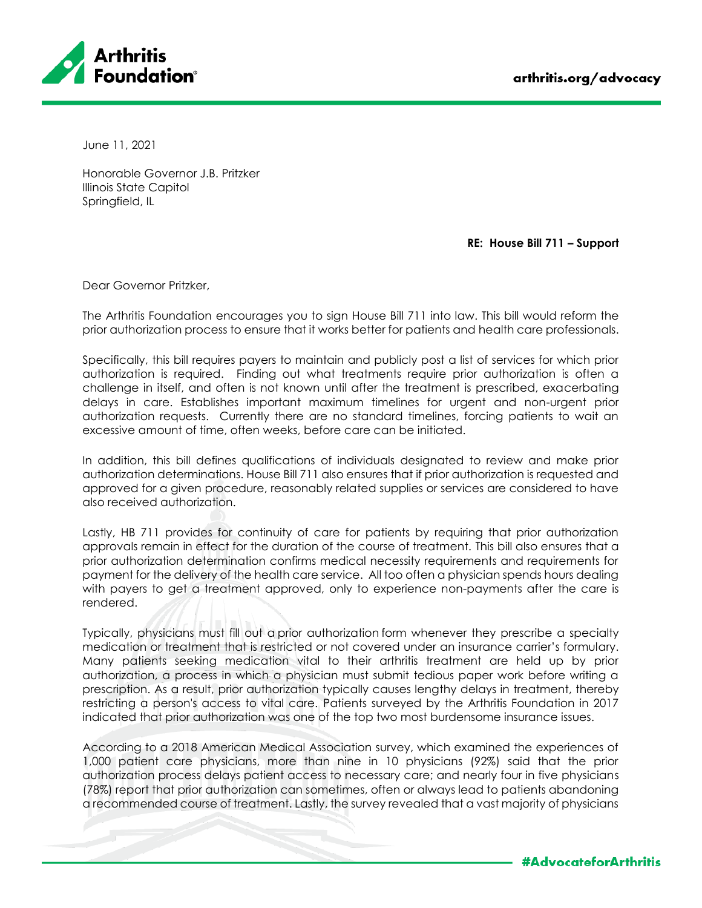



June 11, 2021

Honorable Governor J.B. Pritzker Illinois State Capitol Springfield, IL

**RE: House Bill 711 – Support**

Dear Governor Pritzker,

The Arthritis Foundation encourages you to sign House Bill 711 into law. This bill would reform the prior authorization process to ensure that it works better for patients and health care professionals.

Specifically, this bill requires payers to maintain and publicly post a list of services for which prior authorization is required. Finding out what treatments require prior authorization is often a challenge in itself, and often is not known until after the treatment is prescribed, exacerbating delays in care. Establishes important maximum timelines for urgent and non-urgent prior authorization requests. Currently there are no standard timelines, forcing patients to wait an excessive amount of time, often weeks, before care can be initiated.

In addition, this bill defines qualifications of individuals designated to review and make prior authorization determinations. House Bill 711 also ensures that if prior authorization is requested and approved for a given procedure, reasonably related supplies or services are considered to have also received authorization.

Lastly, HB 711 provides for continuity of care for patients by requiring that prior authorization approvals remain in effect for the duration of the course of treatment. This bill also ensures that a prior authorization determination confirms medical necessity requirements and requirements for payment for the delivery of the health care service. All too often a physician spends hours dealing with payers to get a treatment approved, only to experience non-payments after the care is rendered.

Typically, physicians must fill out a prior authorization form whenever they prescribe a specialty medication or treatment that is restricted or not covered under an insurance carrier's formulary. Many patients seeking medication vital to their arthritis treatment are held up by prior authorization, a process in which a physician must submit tedious paper work before writing a prescription. As a result, prior authorization typically causes lengthy delays in treatment, thereby restricting a person's access to vital care. Patients surveyed by the Arthritis Foundation in 2017 indicated that prior authorization was one of the top two most burdensome insurance issues.

According to a 2018 American Medical Association survey, which examined the experiences of 1,000 patient care physicians, more than nine in 10 physicians (92%) said that the prior authorization process delays patient access to necessary care; and nearly four in five physicians (78%) report that prior authorization can sometimes, often or always lead to patients abandoning a recommended course of treatment. Lastly, the survey revealed that a vast majority of physicians